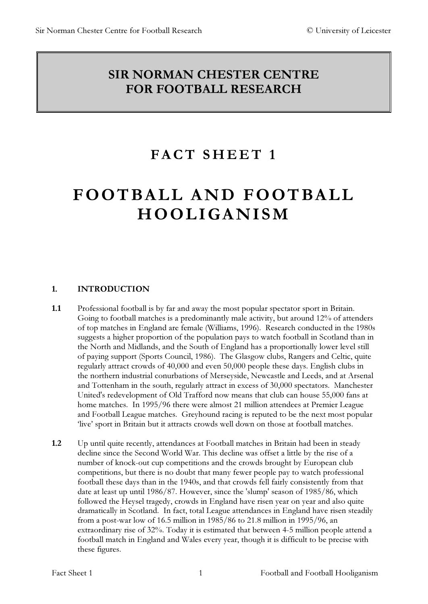# SIR NORMAN CHESTER CENTRE FOR FOOTBALL RESEARCH

i<br>L

# FACT SHEET 1

# FOOTBALL AND FOOTBALL HOOLIGANISM

# 1. INTRODUCTION

- 1.1 Professional football is by far and away the most popular spectator sport in Britain. Going to football matches is a predominantly male activity, but around 12% of attenders of top matches in England are female (Williams, 1996). Research conducted in the 1980s suggests a higher proportion of the population pays to watch football in Scotland than in the North and Midlands, and the South of England has a proportionally lower level still of paying support (Sports Council, 1986). The Glasgow clubs, Rangers and Celtic, quite regularly attract crowds of 40,000 and even 50,000 people these days. English clubs in the northern industrial conurbations of Merseyside, Newcastle and Leeds, and at Arsenal and Tottenham in the south, regularly attract in excess of 30,000 spectators. Manchester United's redevelopment of Old Trafford now means that club can house 55,000 fans at home matches. In 1995/96 there were almost 21 million attendees at Premier League and Football League matches. Greyhound racing is reputed to be the next most popular 'live' sport in Britain but it attracts crowds well down on those at football matches.
- 1.2 Up until quite recently, attendances at Football matches in Britain had been in steady decline since the Second World War. This decline was offset a little by the rise of a number of knock-out cup competitions and the crowds brought by European club competitions, but there is no doubt that many fewer people pay to watch professional football these days than in the 1940s, and that crowds fell fairly consistently from that date at least up until 1986/87. However, since the 'slump' season of 1985/86, which followed the Heysel tragedy, crowds in England have risen year on year and also quite dramatically in Scotland. In fact, total League attendances in England have risen steadily from a post-war low of 16.5 million in 1985/86 to 21.8 million in 1995/96, an extraordinary rise of 32%. Today it is estimated that between 4-5 million people attend a football match in England and Wales every year, though it is difficult to be precise with these figures.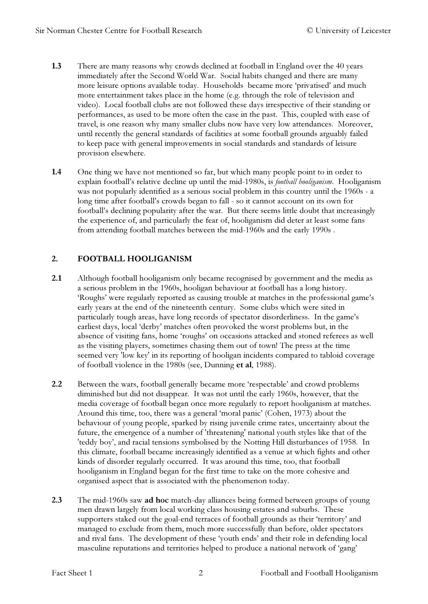- 1.3 There are many reasons why crowds declined at football in England over the 40 years immediately after the Second World War. Social habits changed and there are many more leisure options available today. Households became more 'privatised' and much more entertainment takes place in the home (e.g. through the role of television and video). Local football clubs are not followed these days irrespective of their standing or performances, as used to be more often the case in the past. This, coupled with ease of travel, is one reason why many smaller clubs now have very low attendances. Moreover, until recently the general standards of facilities at some football grounds arguably failed to keep pace with general improvements in social standards and standards of leisure provision elsewhere.
- 1.4 One thing we have not mentioned so far, but which many people point to in order to explain football's relative decline up until the mid-1980s, is football hooliganism. Hooliganism was not popularly identified as a serious social problem in this country until the 1960s - a long time after football's crowds began to fall - so it cannot account on its own for football's declining popularity after the war. But there seems little doubt that increasingly the experience of, and particularly the fear of, hooliganism did deter at least some fans from attending football matches between the mid-1960s and the early 1990s .

#### 2. FOOTBALL HOOLIGANISM

- 2.1 Although football hooliganism only became recognised by government and the media as a serious problem in the 1960s, hooligan behaviour at football has a long history. 'Roughs' were regularly reported as causing trouble at matches in the professional game's early years at the end of the nineteenth century. Some clubs which were sited in particularly tough areas, have long records of spectator disorderliness. In the game's earliest days, local 'derby' matches often provoked the worst problems but, in the absence of visiting fans, home 'roughs' on occasions attacked and stoned referees as well as the visiting players, sometimes chasing them out of town! The press at the time seemed very 'low key' in its reporting of hooligan incidents compared to tabloid coverage of football violence in the 1980s (see, Dunning et al, 1988).
- 2.2 Between the wars, football generally became more 'respectable' and crowd problems diminished but did not disappear. It was not until the early 1960s, however, that the media coverage of football began once more regularly to report hooliganism at matches. Around this time, too, there was a general 'moral panic' (Cohen, 1973) about the behaviour of young people, sparked by rising juvenile crime rates, uncertainty about the future, the emergence of a number of 'threatening' national youth styles like that of the 'teddy boy', and racial tensions symbolised by the Notting Hill disturbances of 1958. In this climate, football became increasingly identified as a venue at which fights and other kinds of disorder regularly occurred. It was around this time, too, that football hooliganism in England began for the first time to take on the more cohesive and organised aspect that is associated with the phenomenon today.
- 2.3 The mid-1960s saw ad hoc match-day alliances being formed between groups of young men drawn largely from local working class housing estates and suburbs. These supporters staked out the goal-end terraces of football grounds as their 'territory' and managed to exclude from them, much more successfully than before, older spectators and rival fans. The development of these 'youth ends' and their role in defending local masculine reputations and territories helped to produce a national network of 'gang'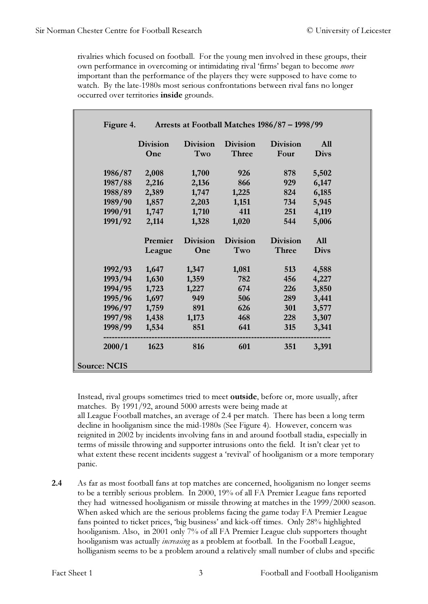rivalries which focused on football. For the young men involved in these groups, their own performance in overcoming or intimidating rival 'firms' began to become more important than the performance of the players they were supposed to have come to watch. By the late-1980s most serious confrontations between rival fans no longer occurred over territories inside grounds.

| Figure 4.           |                 | Arrests at Football Matches 1986/87 - 1998/99 |                 |                 |             |  |  |  |
|---------------------|-----------------|-----------------------------------------------|-----------------|-----------------|-------------|--|--|--|
|                     | <b>Division</b> | <b>Division</b>                               | <b>Division</b> | <b>Division</b> | <b>All</b>  |  |  |  |
|                     | One             | Two                                           | <b>Three</b>    | Four            | <b>Divs</b> |  |  |  |
| 1986/87             | 2,008           | 1,700                                         | 926             | 878             | 5,502       |  |  |  |
| 1987/88             | 2,216           | 2,136                                         | 866             | 929             | 6,147       |  |  |  |
| 1988/89             | 2,389           | 1,747                                         | 1,225           | 824             | 6,185       |  |  |  |
| 1989/90             | 1,857           | 2,203                                         | 1,151           | 734             | 5,945       |  |  |  |
| 1990/91             | 1,747           | 1,710                                         | 411             | 251             | 4,119       |  |  |  |
| 1991/92             | 2,114           | 1,328                                         | 1,020           | 544             | 5,006       |  |  |  |
|                     | Premier         | <b>Division</b>                               | <b>Division</b> | <b>Division</b> | <b>All</b>  |  |  |  |
|                     | League          | One                                           | Two             | <b>Three</b>    | <b>Divs</b> |  |  |  |
| 1992/93             | 1,647           | 1,347                                         | 1,081           | 513             | 4,588       |  |  |  |
| 1993/94             | 1,630           | 1,359                                         | 782             | 456             | 4,227       |  |  |  |
| 1994/95             | 1,723           | 1,227                                         | 674             | 226             | 3,850       |  |  |  |
| 1995/96             | 1,697           | 949                                           | 506             | 289             | 3,441       |  |  |  |
| 1996/97             | 1,759           | 891                                           | 626             | 301             | 3,577       |  |  |  |
| 1997/98             | 1,438           | 1,173                                         | 468             | 228             | 3,307       |  |  |  |
| 1998/99             | 1,534           | 851                                           | 641             | 315             | 3,341       |  |  |  |
| 2000/1              | 1623            | 816                                           | 601             | 351             | 3,391       |  |  |  |
| <b>Source: NCIS</b> |                 |                                               |                 |                 |             |  |  |  |

Instead, rival groups sometimes tried to meet outside, before or, more usually, after matches. By 1991/92, around 5000 arrests were being made at all League Football matches, an average of 2.4 per match. There has been a long term decline in hooliganism since the mid-1980s (See Figure 4). However, concern was reignited in 2002 by incidents involving fans in and around football stadia, especially in terms of missile throwing and supporter intrusions onto the field. It isn't clear yet to what extent these recent incidents suggest a 'revival' of hooliganism or a more temporary panic.

2.4 As far as most football fans at top matches are concerned, hooliganism no longer seems to be a terribly serious problem. In 2000, 19% of all FA Premier League fans reported they had witnessed hooliganism or missile throwing at matches in the 1999/2000 season. When asked which are the serious problems facing the game today FA Premier League fans pointed to ticket prices, 'big business' and kick-off times. Only 28% highlighted hooliganism. Also, in 2001 only 7% of all FA Premier League club supporters thought hooliganism was actually *increasing* as a problem at football. In the Football League, holliganism seems to be a problem around a relatively small number of clubs and specific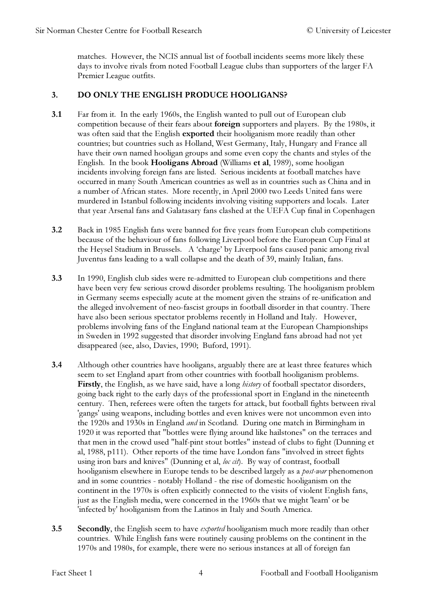matches. However, the NCIS annual list of football incidents seems more likely these days to involve rivals from noted Football League clubs than supporters of the larger FA Premier League outfits.

### 3. DO ONLY THE ENGLISH PRODUCE HOOLIGANS?

- 3.1 Far from it. In the early 1960s, the English wanted to pull out of European club competition because of their fears about foreign supporters and players. By the 1980s, it was often said that the English exported their hooliganism more readily than other countries; but countries such as Holland, West Germany, Italy, Hungary and France all have their own named hooligan groups and some even copy the chants and styles of the English. In the book Hooligans Abroad (Williams et al, 1989), some hooligan incidents involving foreign fans are listed. Serious incidents at football matches have occurred in many South American countries as well as in countries such as China and in a number of African states. More recently, in April 2000 two Leeds United fans were murdered in Istanbul following incidents involving visiting supporters and locals. Later that year Arsenal fans and Galatasary fans clashed at the UEFA Cup final in Copenhagen
- 3.2 Back in 1985 English fans were banned for five years from European club competitions because of the behaviour of fans following Liverpool before the European Cup Final at the Heysel Stadium in Brussels. A 'charge' by Liverpool fans caused panic among rival Juventus fans leading to a wall collapse and the death of 39, mainly Italian, fans.
- 3.3 In 1990, English club sides were re-admitted to European club competitions and there have been very few serious crowd disorder problems resulting. The hooliganism problem in Germany seems especially acute at the moment given the strains of re-unification and the alleged involvement of neo-fascist groups in football disorder in that country. There have also been serious spectator problems recently in Holland and Italy. However, problems involving fans of the England national team at the European Championships in Sweden in 1992 suggested that disorder involving England fans abroad had not yet disappeared (see, also, Davies, 1990; Buford, 1991).
- 3.4 Although other countries have hooligans, arguably there are at least three features which seem to set England apart from other countries with football hooliganism problems. Firstly, the English, as we have said, have a long *history* of football spectator disorders, going back right to the early days of the professional sport in England in the nineteenth century. Then, referees were often the targets for attack, but football fights between rival 'gangs' using weapons, including bottles and even knives were not uncommon even into the 1920s and 1930s in England and in Scotland. During one match in Birmingham in 1920 it was reported that "bottles were flying around like hailstones" on the terraces and that men in the crowd used "half-pint stout bottles" instead of clubs to fight (Dunning et al, 1988, p111). Other reports of the time have London fans "involved in street fights using iron bars and knives" (Dunning et al, loc cit). By way of contrast, football hooliganism elsewhere in Europe tends to be described largely as a post-war phenomenon and in some countries - notably Holland - the rise of domestic hooliganism on the continent in the 1970s is often explicitly connected to the visits of violent English fans, just as the English media, were concerned in the 1960s that we might 'learn' or be 'infected by' hooliganism from the Latinos in Italy and South America.
- **3.5** Secondly, the English seem to have *exported* hooliganism much more readily than other countries. While English fans were routinely causing problems on the continent in the 1970s and 1980s, for example, there were no serious instances at all of foreign fan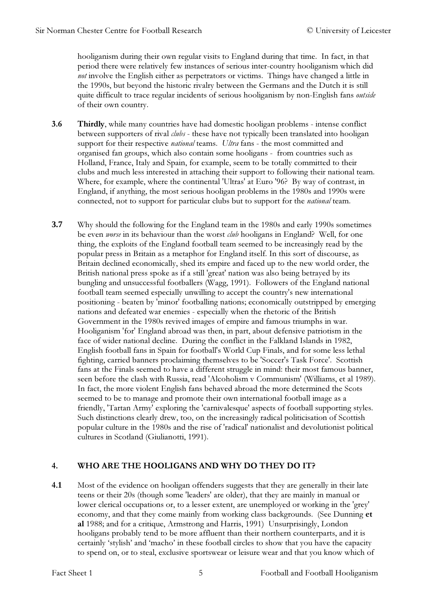hooliganism during their own regular visits to England during that time. In fact, in that period there were relatively few instances of serious inter-country hooliganism which did not involve the English either as perpetrators or victims. Things have changed a little in the 1990s, but beyond the historic rivalry between the Germans and the Dutch it is still quite difficult to trace regular incidents of serious hooliganism by non-English fans *outside* of their own country.

- 3.6 Thirdly, while many countries have had domestic hooligan problems intense conflict between supporters of rival *clubs* - these have not typically been translated into hooligan support for their respective *national* teams. Ultra fans - the most committed and organised fan groups, which also contain some hooligans - from countries such as Holland, France, Italy and Spain, for example, seem to be totally committed to their clubs and much less interested in attaching their support to following their national team. Where, for example, where the continental 'Ultras' at Euro '96? By way of contrast, in England, if anything, the most serious hooligan problems in the 1980s and 1990s were connected, not to support for particular clubs but to support for the national team.
- **3.7** Why should the following for the England team in the 1980s and early 1990s sometimes be even *worse* in its behaviour than the worst *club* hooligans in England? Well, for one thing, the exploits of the England football team seemed to be increasingly read by the popular press in Britain as a metaphor for England itself. In this sort of discourse, as Britain declined economically, shed its empire and faced up to the new world order, the British national press spoke as if a still 'great' nation was also being betrayed by its bungling and unsuccessful footballers (Wagg, 1991). Followers of the England national football team seemed especially unwilling to accept the country's new international positioning - beaten by 'minor' footballing nations; economically outstripped by emerging nations and defeated war enemies - especially when the rhetoric of the British Government in the 1980s revived images of empire and famous triumphs in war. Hooliganism 'for' England abroad was then, in part, about defensive patriotism in the face of wider national decline. During the conflict in the Falkland Islands in 1982, English football fans in Spain for football's World Cup Finals, and for some less lethal fighting, carried banners proclaiming themselves to be 'Soccer's Task Force'. Scottish fans at the Finals seemed to have a different struggle in mind: their most famous banner, seen before the clash with Russia, read 'Alcoholism v Communism' (Williams, et al 1989). In fact, the more violent English fans behaved abroad the more determined the Scots seemed to be to manage and promote their own international football image as a friendly, 'Tartan Army' exploring the 'carnivalesque' aspects of football supporting styles. Such distinctions clearly drew, too, on the increasingly radical politicisation of Scottish popular culture in the 1980s and the rise of 'radical' nationalist and devolutionist political cultures in Scotland (Giulianotti, 1991).

#### 4. WHO ARE THE HOOLIGANS AND WHY DO THEY DO IT?

4.1 Most of the evidence on hooligan offenders suggests that they are generally in their late teens or their 20s (though some 'leaders' are older), that they are mainly in manual or lower clerical occupations or, to a lesser extent, are unemployed or working in the 'grey' economy, and that they come mainly from working class backgrounds. (See Dunning et al 1988; and for a critique, Armstrong and Harris, 1991) Unsurprisingly, London hooligans probably tend to be more affluent than their northern counterparts, and it is certainly 'stylish' and 'macho' in these football circles to show that you have the capacity to spend on, or to steal, exclusive sportswear or leisure wear and that you know which of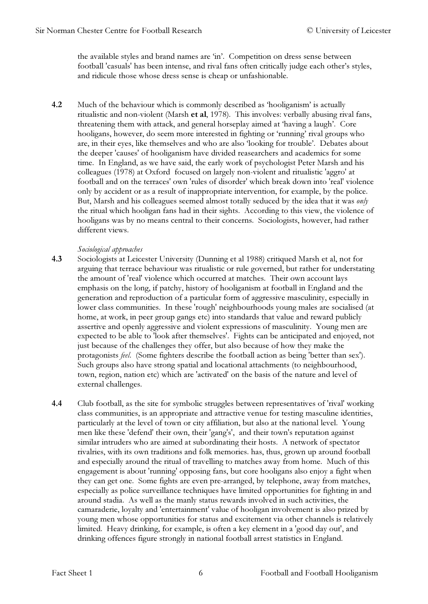the available styles and brand names are 'in'. Competition on dress sense between football 'casuals' has been intense, and rival fans often critically judge each other's styles, and ridicule those whose dress sense is cheap or unfashionable.

4.2 Much of the behaviour which is commonly described as 'hooliganism' is actually ritualistic and non-violent (Marsh et al, 1978). This involves: verbally abusing rival fans, threatening them with attack, and general horseplay aimed at 'having a laugh'. Core hooligans, however, do seem more interested in fighting or 'running' rival groups who are, in their eyes, like themselves and who are also 'looking for trouble'. Debates about the deeper 'causes' of hooliganism have divided reasearchers and academics for some time. In England, as we have said, the early work of psychologist Peter Marsh and his colleagues (1978) at Oxford focused on largely non-violent and ritualistic 'aggro' at football and on the terraces' own 'rules of disorder' which break down into 'real' violence only by accident or as a result of inappropriate intervention, for example, by the police. But, Marsh and his colleagues seemed almost totally seduced by the idea that it was *only* the ritual which hooligan fans had in their sights. According to this view, the violence of hooligans was by no means central to their concerns. Sociologists, however, had rather different views.

#### Sociological approaches

- 4.3 Sociologists at Leicester University (Dunning et al 1988) critiqued Marsh et al, not for arguing that terrace behaviour was ritualistic or rule governed, but rather for understating the amount of 'real' violence which occurred at matches. Their own account lays emphasis on the long, if patchy, history of hooliganism at football in England and the generation and reproduction of a particular form of aggressive masculinity, especially in lower class communities. In these 'rough' neighbourhoods young males are socialised (at home, at work, in peer group gangs etc) into standards that value and reward publicly assertive and openly aggressive and violent expressions of masculinity. Young men are expected to be able to 'look after themselves'. Fights can be anticipated and enjoyed, not just because of the challenges they offer, but also because of how they make the protagonists feel. (Some fighters describe the football action as being 'better than sex'). Such groups also have strong spatial and locational attachments (to neighbourhood, town, region, nation etc) which are 'activated' on the basis of the nature and level of external challenges.
- 4.4 Club football, as the site for symbolic struggles between representatives of 'rival' working class communities, is an appropriate and attractive venue for testing masculine identities, particularly at the level of town or city affiliation, but also at the national level. Young men like these 'defend' their own, their 'gang's', and their town's reputation against similar intruders who are aimed at subordinating their hosts. A network of spectator rivalries, with its own traditions and folk memories. has, thus, grown up around football and especially around the ritual of travelling to matches away from home. Much of this engagement is about 'running' opposing fans, but core hooligans also enjoy a fight when they can get one. Some fights are even pre-arranged, by telephone, away from matches, especially as police surveillance techniques have limited opportunities for fighting in and around stadia. As well as the manly status rewards involved in such activities, the camaraderie, loyalty and 'entertainment' value of hooligan involvement is also prized by young men whose opportunities for status and excitement via other channels is relatively limited. Heavy drinking, for example, is often a key element in a 'good day out', and drinking offences figure strongly in national football arrest statistics in England.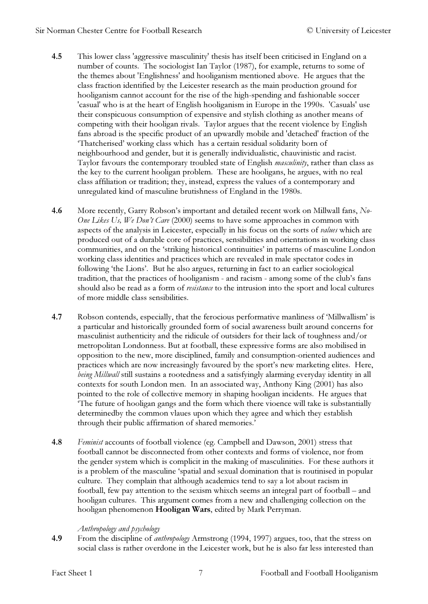- 4.5 This lower class 'aggressive masculinity' thesis has itself been criticised in England on a number of counts. The sociologist Ian Taylor (1987), for example, returns to some of the themes about 'Englishness' and hooliganism mentioned above. He argues that the class fraction identified by the Leicester research as the main production ground for hooliganism cannot account for the rise of the high-spending and fashionable soccer 'casual' who is at the heart of English hooliganism in Europe in the 1990s. 'Casuals' use their conspicuous consumption of expensive and stylish clothing as another means of competing with their hooligan rivals. Taylor argues that the recent violence by English fans abroad is the specific product of an upwardly mobile and 'detached' fraction of the 'Thatcherised' working class which has a certain residual solidarity born of neighbourhood and gender, but it is generally individualistic, chauvinistic and racist. Taylor favours the contemporary troubled state of English *masculinity*, rather than class as the key to the current hooligan problem. These are hooligans, he argues, with no real class affiliation or tradition; they, instead, express the values of a contemporary and unregulated kind of masculine brutishness of England in the 1980s.
- 4.6 More recently, Garry Robson's important and detailed recent work on Millwall fans, No-One Likes Us, We Don't Care (2000) seems to have some approaches in common with aspects of the analysis in Leicester, especially in his focus on the sorts of values which are produced out of a durable core of practices, sensibilities and orientations in working class communities, and on the 'striking historical continuities' in patterns of masculine London working class identities and practices which are revealed in male spectator codes in following 'the Lions'. But he also argues, returning in fact to an earlier sociological tradition, that the practices of hooliganism - and racism - among some of the club's fans should also be read as a form of *resistance* to the intrusion into the sport and local cultures of more middle class sensibilities.
- 4.7 Robson contends, especially, that the ferocious performative manliness of 'Millwallism' is a particular and historically grounded form of social awareness built around concerns for masculinist authenticity and the ridicule of outsiders for their lack of toughness and/or metropolitan Londonness. But at football, these expressive forms are also mobilised in opposition to the new, more disciplined, family and consumption-oriented audiences and practices which are now increasingly favoured by the sport's new marketing elites. Here, being Millwall still sustains a rootedness and a satisfyingly alarming everyday identity in all contexts for south London men. In an associated way, Anthony King (2001) has also pointed to the role of collective memory in shaping hooligan incidents. He argues that 'The future of hooligan gangs and the form which there vioence will take is substantially determinedby the common vlaues upon which they agree and which they establish through their public affirmation of shared memories.'
- 4.8 Feminist accounts of football violence (eg. Campbell and Dawson, 2001) stress that football cannot be disconnected from other contexts and forms of violence, nor from the gender system which is complicit in the making of masculinities. For these authors it is a problem of the masculine 'spatial and sexual domination that is routinised in popular culture. They complain that although academics tend to say a lot about racism in football, few pay attention to the sexism whixch seems an integral part of football – and hooligan cultures. This argument comes from a new and challenging collection on the hooligan phenomenon Hooligan Wars, edited by Mark Perryman.

#### Anthropology and psychology

4.9 From the discipline of *anthropology* Armstrong (1994, 1997) argues, too, that the stress on social class is rather overdone in the Leicester work, but he is also far less interested than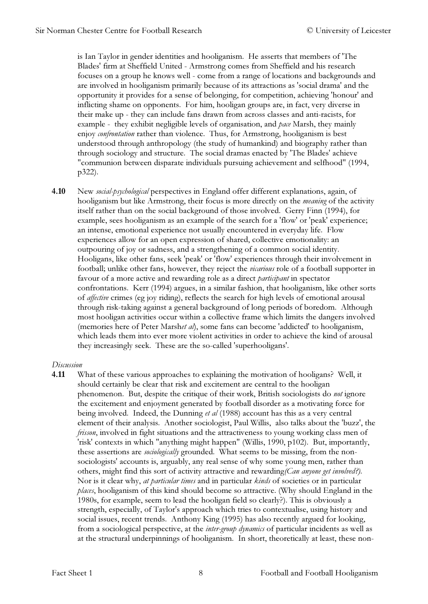is Ian Taylor in gender identities and hooliganism. He asserts that members of 'The Blades' firm at Sheffield United - Armstrong comes from Sheffield and his research focuses on a group he knows well - come from a range of locations and backgrounds and are involved in hooliganism primarily because of its attractions as 'social drama' and the opportunity it provides for a sense of belonging, for competition, achieving 'honour' and inflicting shame on opponents. For him, hooligan groups are, in fact, very diverse in their make up - they can include fans drawn from across classes and anti-racists, for example - they exhibit negligible levels of organisation, and pace Marsh, they mainly enjoy confrontation rather than violence. Thus, for Armstrong, hooliganism is best understood through anthropology (the study of humankind) and biography rather than through sociology and structure. The social dramas enacted by 'The Blades' achieve "communion between disparate individuals pursuing achievement and selfhood" (1994, p322).

4.10 New social-psychological perspectives in England offer different explanations, again, of hooliganism but like Armstrong, their focus is more directly on the meaning of the activity itself rather than on the social background of those involved. Gerry Finn (1994), for example, sees hooliganism as an example of the search for a 'flow' or 'peak' experience; an intense, emotional experience not usually encountered in everyday life. Flow experiences allow for an open expression of shared, collective emotionality: an outpouring of joy or sadness, and a strengthening of a common social identity. Hooligans, like other fans, seek 'peak' or 'flow' experiences through their involvement in football; unlike other fans, however, they reject the vicarious role of a football supporter in favour of a more active and rewarding role as a direct participant in spectator confrontations. Kerr (1994) argues, in a similar fashion, that hooliganism, like other sorts of affective crimes (eg joy riding), reflects the search for high levels of emotional arousal through risk-taking against a general background of long periods of boredom. Although most hooligan activities occur within a collective frame which limits the dangers involved (memories here of Peter Marshet al), some fans can become 'addicted' to hooliganism, which leads them into ever more violent activities in order to achieve the kind of arousal they increasingly seek. These are the so-called 'superhooligans'.

#### Discussion

4.11 What of these various approaches to explaining the motivation of hooligans? Well, it should certainly be clear that risk and excitement are central to the hooligan phenomenon. But, despite the critique of their work, British sociologists do not ignore the excitement and enjoyment generated by football disorder as a motivating force for being involved. Indeed, the Dunning et al (1988) account has this as a very central element of their analysis. Another sociologist, Paul Willis, also talks about the 'buzz', the frisson, involved in fight situations and the attractiveness to young working class men of 'risk' contexts in which "anything might happen" (Willis, 1990, p102). But, importantly, these assertions are *sociologically* grounded. What seems to be missing, from the nonsociologists' accounts is, arguably, any real sense of why some young men, rather than others, might find this sort of activity attractive and rewarding(Can anyone get involved?). Nor is it clear why, at particular times and in particular kinds of societies or in particular places, hooliganism of this kind should become so attractive. (Why should England in the 1980s, for example, seem to lead the hooligan field so clearly?). This is obviously a strength, especially, of Taylor's approach which tries to contextualise, using history and social issues, recent trends. Anthony King (1995) has also recently argued for looking, from a sociological perspective, at the *inter-group dynamics* of particular incidents as well as at the structural underpinnings of hooliganism. In short, theoretically at least, these non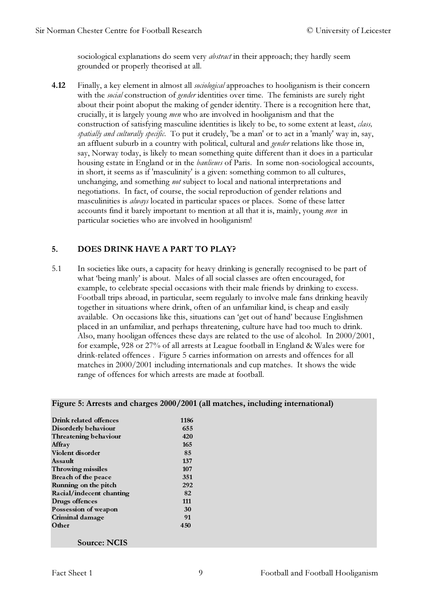sociological explanations do seem very *abstract* in their approach; they hardly seem grounded or properly theorised at all.

4.12 Finally, a key element in almost all *sociological* approaches to hooliganism is their concern with the *social* construction of *gender* identities over time. The feminists are surely right about their point aboput the making of gender identity. There is a recognition here that, crucially, it is largely young men who are involved in hooliganism and that the construction of satisfying masculine identities is likely to be, to some extent at least, class, spatially and culturally specific. To put it crudely, 'be a man' or to act in a 'manly' way in, say, an affluent suburb in a country with political, cultural and *gender* relations like those in, say, Norway today, is likely to mean something quite different than it does in a particular housing estate in England or in the *banlieues* of Paris. In some non-sociological accounts, in short, it seems as if 'masculinity' is a given: something common to all cultures, unchanging, and something not subject to local and national interpretations and negotiations. In fact, of course, the social reproduction of gender relations and masculinities is always located in particular spaces or places. Some of these latter accounts find it barely important to mention at all that it is, mainly, young men in particular societies who are involved in hooliganism!

# 5. DOES DRINK HAVE A PART TO PLAY?

5.1 In societies like ours, a capacity for heavy drinking is generally recognised to be part of what 'being manly' is about. Males of all social classes are often encouraged, for example, to celebrate special occasions with their male friends by drinking to excess. Football trips abroad, in particular, seem regularly to involve male fans drinking heavily together in situations where drink, often of an unfamiliar kind, is cheap and easily available. On occasions like this, situations can 'get out of hand' because Englishmen placed in an unfamiliar, and perhaps threatening, culture have had too much to drink. Also, many hooligan offences these days are related to the use of alcohol. In 2000/2001, for example, 928 or 27% of all arrests at League football in England & Wales were for drink-related offences . Figure 5 carries information on arrests and offences for all matches in 2000/2001 including internationals and cup matches. It shows the wide range of offences for which arrests are made at football.

| Drink related offences   | 1186 |
|--------------------------|------|
| Disorderly behaviour     | 655  |
| Threatening behaviour    | 420  |
| Affray                   | 165  |
| Violent disorder         | 85   |
| Assault                  | 137  |
| Throwing missiles        | 107  |
| Breach of the peace      | 351  |
| Running on the pitch     | 292  |
| Racial/indecent chanting | 82   |
| Drugs offences           | 111  |
| Possession of weapon     | 30   |
| Criminal damage          | 91   |
| Other                    | 450  |
| <b>Source: NCIS</b>      |      |

#### Figure 5: Arrests and charges 2000/2001 (all matches, including international)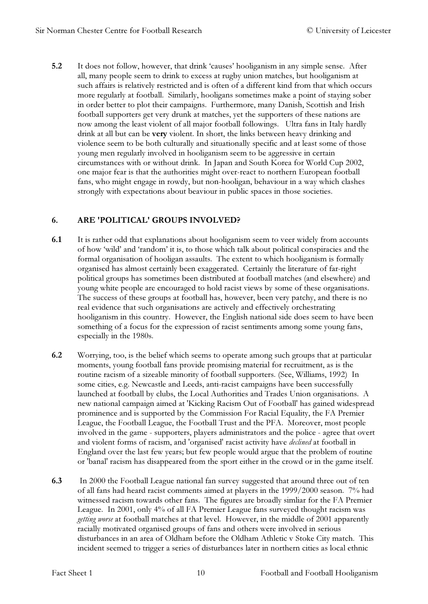5.2 It does not follow, however, that drink 'causes' hooliganism in any simple sense. After all, many people seem to drink to excess at rugby union matches, but hooliganism at such affairs is relatively restricted and is often of a different kind from that which occurs more regularly at football. Similarly, hooligans sometimes make a point of staying sober in order better to plot their campaigns. Furthermore, many Danish, Scottish and Irish football supporters get very drunk at matches, yet the supporters of these nations are now among the least violent of all major football followings. Ultra fans in Italy hardly drink at all but can be very violent. In short, the links between heavy drinking and violence seem to be both culturally and situationally specific and at least some of those young men regularly involved in hooliganism seem to be aggressive in certain circumstances with or without drink. In Japan and South Korea for World Cup 2002, one major fear is that the authorities might over-react to northern European football fans, who might engage in rowdy, but non-hooligan, behaviour in a way which clashes strongly with expectations about beaviour in public spaces in those societies.

#### 6. ARE 'POLITICAL' GROUPS INVOLVED?

- 6.1 It is rather odd that explanations about hooliganism seem to veer widely from accounts of how 'wild' and 'random' it is, to those which talk about political conspiracies and the formal organisation of hooligan assaults. The extent to which hooliganism is formally organised has almost certainly been exaggerated. Certainly the literature of far-right political groups has sometimes been distributed at football matches (and elsewhere) and young white people are encouraged to hold racist views by some of these organisations. The success of these groups at football has, however, been very patchy, and there is no real evidence that such organisations are actively and effectively orchestrating hooliganism in this country. However, the English national side does seem to have been something of a focus for the expression of racist sentiments among some young fans, especially in the 1980s.
- 6.2 Worrying, too, is the belief which seems to operate among such groups that at particular moments, young football fans provide promising material for recruitment, as is the routine racism of a sizeable minority of football supporters. (See, Williams, 1992) In some cities, e.g. Newcastle and Leeds, anti-racist campaigns have been successfully launched at football by clubs, the Local Authorities and Trades Union organisations. A new national campaign aimed at 'Kicking Racism Out of Football' has gained widespread prominence and is supported by the Commission For Racial Equality, the FA Premier League, the Football League, the Football Trust and the PFA. Moreover, most people involved in the game - supporters, players administrators and the police - agree that overt and violent forms of racism, and 'organised' racist activity have declined at football in England over the last few years; but few people would argue that the problem of routine or 'banal' racism has disappeared from the sport either in the crowd or in the game itself.
- 6.3 In 2000 the Football League national fan survey suggested that around three out of ten of all fans had heard racist comments aimed at players in the 1999/2000 season. 7% had witnessed racism towards other fans. The figures are broadly simliar for the FA Premier League. In 2001, only 4% of all FA Premier League fans surveyed thought racism was *getting worse* at football matches at that level. However, in the middle of 2001 apparently racially motivated organised groups of fans and others were involved in serious disturbances in an area of Oldham before the Oldham Athletic v Stoke City match. This incident seemed to trigger a series of disturbances later in northern cities as local ethnic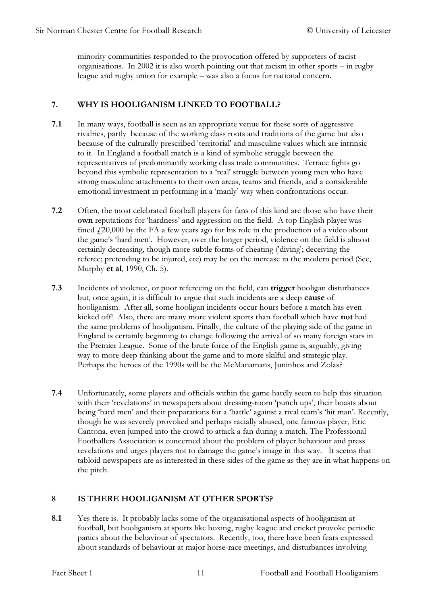minority communities responded to the provocation offered by supporters of racist organisations. In 2002 it is also worth pointing out that racism in other sports – in rugby league and rugby union for example – was also a focus for national concern.

# 7. WHY IS HOOLIGANISM LINKED TO FOOTBALL?

- 7.1 In many ways, football is seen as an appropriate venue for these sorts of aggressive rivalries, partly because of the working class roots and traditions of the game but also because of the culturally prescribed 'territorial' and masculine values which are intrinsic to it. In England a football match is a kind of symbolic struggle between the representatives of predominantly working class male communities. Terrace fights go beyond this symbolic representation to a 'real' struggle between young men who have strong masculine attachments to their own areas, teams and friends, and a considerable emotional investment in performing in a 'manly' way when confrontations occur.
- 7.2 Often, the most celebrated football players for fans of this kind are those who have their own reputations for 'hardness' and aggression on the field. A top English player was fined  $f(20,000)$  by the FA a few years ago for his role in the production of a video about the game's 'hard men'. However, over the longer period, violence on the field is almost certainly decreasing, though more subtle forms of cheating ('diving'; deceiving the referee; pretending to be injured, etc) may be on the increase in the modern period (See, Murphy et al, 1990, Ch. 5).
- 7.3 Incidents of violence, or poor refereeing on the field, can trigger hooligan disturbances but, once again, it is difficult to argue that such incidents are a deep cause of hooliganism. After all, some hooligan incidents occur hours before a match has even kicked off! Also, there are many more violent sports than football which have not had the same problems of hooliganism. Finally, the culture of the playing side of the game in England is certainly beginning to change following the arrival of so many foreign stars in the Premier League. Some of the brute force of the English game is, arguably, giving way to more deep thinking about the game and to more skilful and strategic play. Perhaps the heroes of the 1990s will be the McManamans, Juninhos and Zolas?
- 7.4 Unfortunately, some players and officials within the game hardly seem to help this situation with their 'revelations' in newspapers about dressing-room 'punch ups', their boasts about being 'hard men' and their preparations for a 'battle' against a rival team's 'hit man'. Recently, though he was severely provoked and perhaps racially abused, one famous player, Eric Cantona, even jumped into the crowd to attack a fan during a match. The Professional Footballers Association is concerned about the problem of player behaviour and press revelations and urges players not to damage the game's image in this way. It seems that tabloid newspapers are as interested in these sides of the game as they are in what happens on the pitch.

# 8 IS THERE HOOLIGANISM AT OTHER SPORTS?

8.1 Yes there is. It probably lacks some of the organisational aspects of hooliganism at football, but hooliganism at sports like boxing, rugby league and cricket provoke periodic panics about the behaviour of spectators. Recently, too, there have been fears expressed about standards of behaviour at major horse-race meetings, and disturbances involving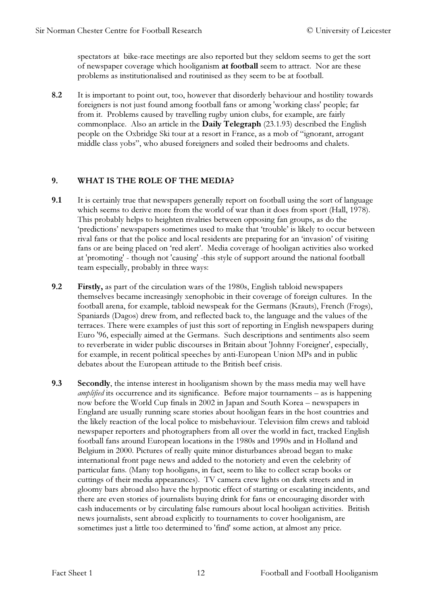spectators at bike-race meetings are also reported but they seldom seems to get the sort of newspaper coverage which hooliganism at football seem to attract. Nor are these problems as institutionalised and routinised as they seem to be at football.

8.2 It is important to point out, too, however that disorderly behaviour and hostility towards foreigners is not just found among football fans or among 'working class' people; far from it. Problems caused by travelling rugby union clubs, for example, are fairly commonplace. Also an article in the Daily Telegraph (23.1.93) described the English people on the Oxbridge Ski tour at a resort in France, as a mob of "ignorant, arrogant middle class yobs", who abused foreigners and soiled their bedrooms and chalets.

#### 9. WHAT IS THE ROLE OF THE MEDIA?

- 9.1 It is certainly true that newspapers generally report on football using the sort of language which seems to derive more from the world of war than it does from sport (Hall, 1978). This probably helps to heighten rivalries between opposing fan groups, as do the 'predictions' newspapers sometimes used to make that 'trouble' is likely to occur between rival fans or that the police and local residents are preparing for an 'invasion' of visiting fans or are being placed on 'red alert'. Media coverage of hooligan activities also worked at 'promoting' - though not 'causing' -this style of support around the national football team especially, probably in three ways:
- 9.2 Firstly, as part of the circulation wars of the 1980s, English tabloid newspapers themselves became increasingly xenophobic in their coverage of foreign cultures. In the football arena, for example, tabloid newspeak for the Germans (Krauts), French (Frogs), Spaniards (Dagos) drew from, and reflected back to, the language and the values of the terraces. There were examples of just this sort of reporting in English newspapers during Euro '96, especially aimed at the Germans. Such descriptions and sentiments also seem to reverberate in wider public discourses in Britain about 'Johnny Foreigner', especially, for example, in recent political speeches by anti-European Union MPs and in public debates about the European attitude to the British beef crisis.
- 9.3 Secondly, the intense interest in hooliganism shown by the mass media may well have amplified its occurrence and its significance. Before major tournaments – as is happening now before the World Cup finals in 2002 in Japan and South Korea – newspapers in England are usually running scare stories about hooligan fears in the host countries and the likely reaction of the local police to misbehaviour. Television film crews and tabloid newspaper reporters and photographers from all over the world in fact, tracked English football fans around European locations in the 1980s and 1990s and in Holland and Belgium in 2000. Pictures of really quite minor disturbances abroad began to make international front page news and added to the notoriety and even the celebrity of particular fans. (Many top hooligans, in fact, seem to like to collect scrap books or cuttings of their media appearances). TV camera crew lights on dark streets and in gloomy bars abroad also have the hypnotic effect of starting or escalating incidents, and there are even stories of journalists buying drink for fans or encouraging disorder with cash inducements or by circulating false rumours about local hooligan activities. British news journalists, sent abroad explicitly to tournaments to cover hooliganism, are sometimes just a little too determined to 'find' some action, at almost any price.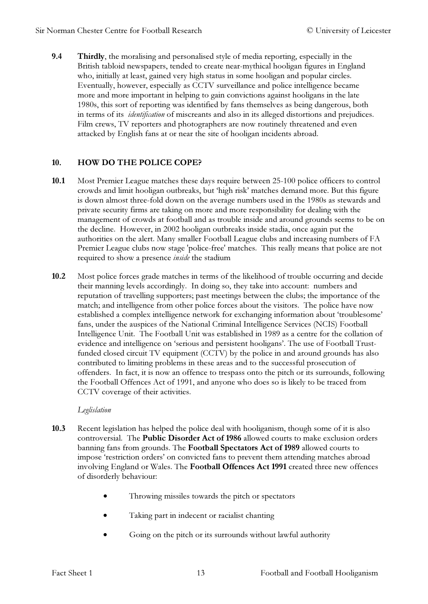9.4 Thirdly, the moralising and personalised style of media reporting, especially in the British tabloid newspapers, tended to create near-mythical hooligan figures in England who, initially at least, gained very high status in some hooligan and popular circles. Eventually, however, especially as CCTV surveillance and police intelligence became more and more important in helping to gain convictions against hooligans in the late 1980s, this sort of reporting was identified by fans themselves as being dangerous, both in terms of its identification of miscreants and also in its alleged distortions and prejudices. Film crews, TV reporters and photographers are now routinely threatened and even attacked by English fans at or near the site of hooligan incidents abroad.

# 10. HOW DO THE POLICE COPE?

- 10.1 Most Premier League matches these days require between 25-100 police officers to control crowds and limit hooligan outbreaks, but 'high risk' matches demand more. But this figure is down almost three-fold down on the average numbers used in the 1980s as stewards and private security firms are taking on more and more responsibility for dealing with the management of crowds at football and as trouble inside and around grounds seems to be on the decline. However, in 2002 hooligan outbreaks inside stadia, once again put the authorities on the alert. Many smaller Football League clubs and increasing numbers of FA Premier League clubs now stage 'police-free' matches. This really means that police are not required to show a presence inside the stadium
- 10.2 Most police forces grade matches in terms of the likelihood of trouble occurring and decide their manning levels accordingly. In doing so, they take into account: numbers and reputation of travelling supporters; past meetings between the clubs; the importance of the match; and intelligence from other police forces about the visitors. The police have now established a complex intelligence network for exchanging information about 'troublesome' fans, under the auspices of the National Criminal Intelligence Services (NCIS) Football Intelligence Unit. The Football Unit was established in 1989 as a centre for the collation of evidence and intelligence on 'serious and persistent hooligans'. The use of Football Trustfunded closed circuit TV equipment (CCTV) by the police in and around grounds has also contributed to limiting problems in these areas and to the successful prosecution of offenders. In fact, it is now an offence to trespass onto the pitch or its surrounds, following the Football Offences Act of 1991, and anyone who does so is likely to be traced from CCTV coverage of their activities.

#### Leglislation

- 10.3 Recent legislation has helped the police deal with hooliganism, though some of it is also controversial. The Public Disorder Act of 1986 allowed courts to make exclusion orders banning fans from grounds. The Football Spectators Act of 1989 allowed courts to impose 'restriction orders' on convicted fans to prevent them attending matches abroad involving England or Wales. The Football Offences Act 1991 created three new offences of disorderly behaviour:
	- Throwing missiles towards the pitch or spectators
	- Taking part in indecent or racialist chanting
	- Going on the pitch or its surrounds without lawful authority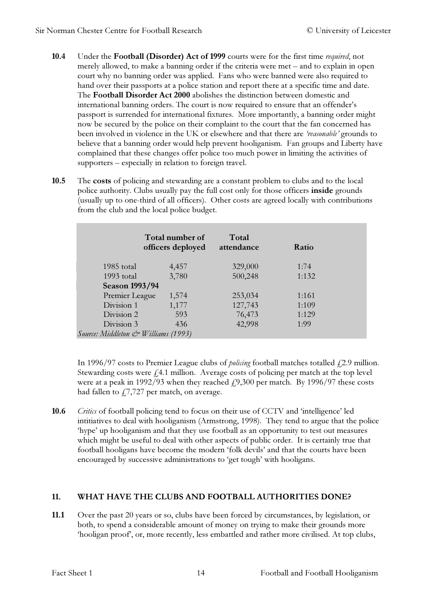- 10.4 Under the Football (Disorder) Act of 1999 courts were for the first time required, not merely allowed, to make a banning order if the criteria were met – and to explain in open court why no banning order was applied. Fans who were banned were also required to hand over their passports at a police station and report there at a specific time and date. The Football Disorder Act 2000 abolishes the distinction between domestic and international banning orders. The court is now required to ensure that an offender's passport is surrended for international fixtures. More importantly, a banning order might now be secured by the police on their complaint to the court that the fan concerned has been involved in violence in the UK or elsewhere and that there are 'reasonable' grounds to believe that a banning order would help prevent hooliganism. Fan groups and Liberty have complained that these changes offer police too much power in limiting the activities of supporters – especially in relation to foreign travel.
- 10.5 The costs of policing and stewarding are a constant problem to clubs and to the local police authority. Clubs usually pay the full cost only for those officers inside grounds (usually up to one-third of all officers). Other costs are agreed locally with contributions from the club and the local police budget.

|                                     | Total number of<br>officers deployed | Total<br>attendance | Ratio |  |
|-------------------------------------|--------------------------------------|---------------------|-------|--|
| 1985 total                          | 4,457                                | 329,000             | 1:74  |  |
| $1993$ total                        | 3,780                                | 500,248             | 1:132 |  |
| <b>Season 1993/94</b>               |                                      |                     |       |  |
| Premier League                      | 1,574                                | 253,034             | 1:161 |  |
| Division 1                          | 1,177                                | 127,743             | 1:109 |  |
| Division 2                          | 593                                  | 76,473              | 1:129 |  |
| Division 3                          | 436                                  | 42,998              | 1:99  |  |
| Source: Middleton & Williams (1993) |                                      |                     |       |  |

In 1996/97 costs to Premier League clubs of *policing* football matches totalled  $\ell$ 2.9 million. Stewarding costs were  $f$ <sub>4.1</sub> million. Average costs of policing per match at the top level were at a peak in 1992/93 when they reached  $\mu$ , 300 per match. By 1996/97 these costs had fallen to  $f7,727$  per match, on average.

10.6 Critics of football policing tend to focus on their use of CCTV and 'intelligence' led intitiatives to deal with hooliganism (Armstrong, 1998). They tend to argue that the police 'hype' up hooliganism and that they use football as an opportunity to test out measures which might be useful to deal with other aspects of public order. It is certainly true that football hooligans have become the modern 'folk devils' and that the courts have been encouraged by successive administrations to 'get tough' with hooligans.

# 11. WHAT HAVE THE CLUBS AND FOOTBALL AUTHORITIES DONE?

11.1 Over the past 20 years or so, clubs have been forced by circumstances, by legislation, or both, to spend a considerable amount of money on trying to make their grounds more 'hooligan proof', or, more recently, less embattled and rather more civilised. At top clubs,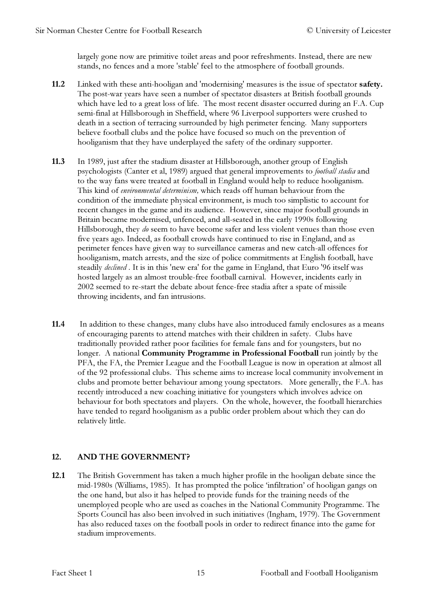largely gone now are primitive toilet areas and poor refreshments. Instead, there are new stands, no fences and a more 'stable' feel to the atmosphere of football grounds.

- 11.2 Linked with these anti-hooligan and 'modernising' measures is the issue of spectator safety. The post-war years have seen a number of spectator disasters at British football grounds which have led to a great loss of life. The most recent disaster occurred during an F.A. Cup semi-final at Hillsborough in Sheffield, where 96 Liverpool supporters were crushed to death in a section of terracing surrounded by high perimeter fencing. Many supporters believe football clubs and the police have focused so much on the prevention of hooliganism that they have underplayed the safety of the ordinary supporter.
- 11.3 In 1989, just after the stadium disaster at Hillsborough, another group of English psychologists (Canter et al, 1989) argued that general improvements to football stadia and to the way fans were treated at football in England would help to reduce hooliganism. This kind of environmental determinism, which reads off human behaviour from the condition of the immediate physical environment, is much too simplistic to account for recent changes in the game and its audience. However, since major football grounds in Britain became modernised, unfenced, and all-seated in the early 1990s following Hillsborough, they *do* seem to have become safer and less violent venues than those even five years ago. Indeed, as football crowds have continued to rise in England, and as perimeter fences have given way to surveillance cameras and new catch-all offences for hooliganism, match arrests, and the size of police commitments at English football, have steadily *declined*. It is in this 'new era' for the game in England, that Euro '96 itself was hosted largely as an almost trouble-free football carnival. However, incidents early in 2002 seemed to re-start the debate about fence-free stadia after a spate of missile throwing incidents, and fan intrusions.
- 11.4 In addition to these changes, many clubs have also introduced family enclosures as a means of encouraging parents to attend matches with their children in safety. Clubs have traditionally provided rather poor facilities for female fans and for youngsters, but no longer. A national Community Programme in Professional Football run jointly by the PFA, the FA, the Premier League and the Football League is now in operation at almost all of the 92 professional clubs. This scheme aims to increase local community involvement in clubs and promote better behaviour among young spectators. More generally, the F.A. has recently introduced a new coaching initiative for youngsters which involves advice on behaviour for both spectators and players. On the whole, however, the football hierarchies have tended to regard hooliganism as a public order problem about which they can do relatively little.

#### 12. AND THE GOVERNMENT?

12.1 The British Government has taken a much higher profile in the hooligan debate since the mid-1980s (Williams, 1985). It has prompted the police 'infiltration' of hooligan gangs on the one hand, but also it has helped to provide funds for the training needs of the unemployed people who are used as coaches in the National Community Programme. The Sports Council has also been involved in such initiatives (Ingham, 1979). The Government has also reduced taxes on the football pools in order to redirect finance into the game for stadium improvements.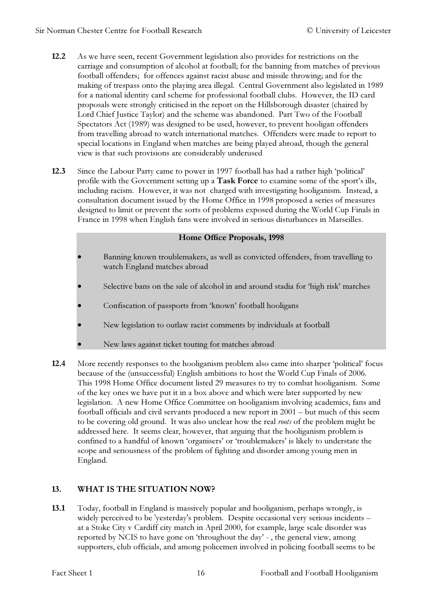- 12.2 As we have seen, recent Government legislation also provides for restrictions on the carriage and consumption of alcohol at football; for the banning from matches of previous football offenders; for offences against racist abuse and missile throwing; and for the making of trespass onto the playing area illegal. Central Government also legislated in 1989 for a national identity card scheme for professional football clubs. However, the ID card proposals were strongly criticised in the report on the Hillsborough disaster (chaired by Lord Chief Justice Taylor) and the scheme was abandoned. Part Two of the Football Spectators Act (1989) was designed to be used, however, to prevent hooligan offenders from travelling abroad to watch international matches. Offenders were made to report to special locations in England when matches are being played abroad, though the general view is that such provisions are considerably underused
- 12.3 Since the Labour Party came to power in 1997 football has had a rather high 'political' profile with the Government setting up a Task Force to examine some of the sport's ills, including racism. However, it was not charged with investigating hooliganism. Instead, a consultation document issued by the Home Office in 1998 proposed a series of measures designed to limit or prevent the sorts of problems exposed during the World Cup Finals in France in 1998 when English fans were involved in serious disturbances in Marseilles.

#### Home Office Proposals, 1998

- Banning known troublemakers, as well as convicted offenders, from travelling to watch England matches abroad
- Selective bans on the sale of alcohol in and around stadia for 'high risk' matches
- Confiscation of passports from 'known' football hooligans
- New legislation to outlaw racist comments by individuals at football
- New laws against ticket touting for matches abroad
- 12.4 More recently responses to the hooliganism problem also came into sharper 'political' focus because of the (unsuccessful) English ambitions to host the World Cup Finals of 2006. This 1998 Home Office document listed 29 measures to try to combat hooliganism. Some of the key ones we have put it in a box above and which were later supported by new legislation. A new Home Office Committee on hooliganism involving academics, fans and football officials and civil servants produced a new report in 2001 – but much of this seem to be covering old ground. It was also unclear how the real roots of the problem might be addressed here. It seems clear, however, that arguing that the hooliganism problem is confined to a handful of known 'organisers' or 'troublemakers' is likely to understate the scope and seriousness of the problem of fighting and disorder among young men in England.

# 13. WHAT IS THE SITUATION NOW?

13.1 Today, football in England is massively popular and hooliganism, perhaps wrongly, is widely perceived to be 'yesterday's problem. Despite occasional very serious incidents – at a Stoke City v Cardiff city match in April 2000, for example, large scale disorder was reported by NCIS to have gone on 'throughout the day' - , the general view, among supporters, club officials, and among policemen involved in policing football seems to be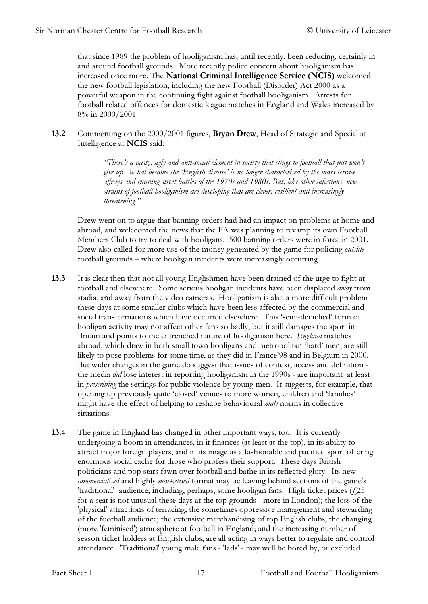that since 1989 the problem of hooliganism has, until recently, been reducing, certainly in and around football grounds. More recently police concern about hooliganism has increased once more. The National Criminal Intelligence Service (NCIS) welcomed the new football legislation, including the new Football (Disorder) Act 2000 as a powerful weapon in the continuing fight against football hooliganism. Arrests for football related offences for domestic league matches in England and Wales increased by 8% in 2000/2001

13.2 Commenting on the 2000/2001 figures, Bryan Drew, Head of Strategic and Specialist Intelligence at NCIS said:

> "There's a nasty, ugly and anti-social element in socirty that clings to football that just won't give up. What became the 'English disease' is no longer characterised by the mass terrace affrays and running street battles of the 1970s and 1980s. But, like other infections, new strains of football hooliganism are developing that are clever, resilient and increasingly threatening."

 Drew went on to argue that banning orders had had an impact on problems at home and abroad, and welecomed the news that the FA was planning to revamp its own Football Members Club to try to deal with hooligans. 500 banning orders were in force in 2001. Drew also called for more use of the money generated by the game for policing *outside* football grounds – where hooligan incidents were increasingly occurring.

- 13.3 It is clear then that not all young Englishmen have been drained of the urge to fight at football and elsewhere. Some serious hooligan incidents have been displaced away from stadia, and away from the video cameras. Hooliganism is also a more difficult problem these days at some smaller clubs which have been less affected by the commercial and social transformations which have occurred elsewhere. This 'semi-detached' form of hooligan activity may not affect other fans so badly, but it still damages the sport in Britain and points to the entrenched nature of hooliganism here. *England* matches abroad, which draw in both small town hooligans and metropolitan 'hard' men, are still likely to pose problems for some time, as they did in France'98 and in Belgium in 2000. But wider changes in the game do suggest that issues of context, access and definition the media *did* lose interest in reporting hooliganism in the 1990s - are important at least in prescribing the settings for public violence by young men. It suggests, for example, that opening up previously quite 'closed' venues to more women, children and 'families' might have the effect of helping to reshape behavioural male norms in collective situations.
- 13.4 The game in England has changed in other important ways, too. It is currently undergoing a boom in attendances, in it finances (at least at the top), in its ability to attract major foreign players, and in its image as a fashionable and pacified sport offering enormous social cache for those who profess their support. These days British politicians and pop stars fawn over football and bathe in its reflected glory. Its new commercialised and highly marketised format may be leaving behind sections of the game's 'traditional' audience, including, perhaps, some hooligan fans. High ticket prices (£25 for a seat is not unusual these days at the top grounds - more in London); the loss of the 'physical' attractions of terracing; the sometimes oppressive management and stewarding of the football audience; the extensive merchandising of top English clubs; the changing (more 'feminised') atmosphere at football in England; and the increasing number of season ticket holders at English clubs, are all acting in ways better to regulate and control attendance. 'Traditional' young male fans - 'lads' - may well be bored by, or excluded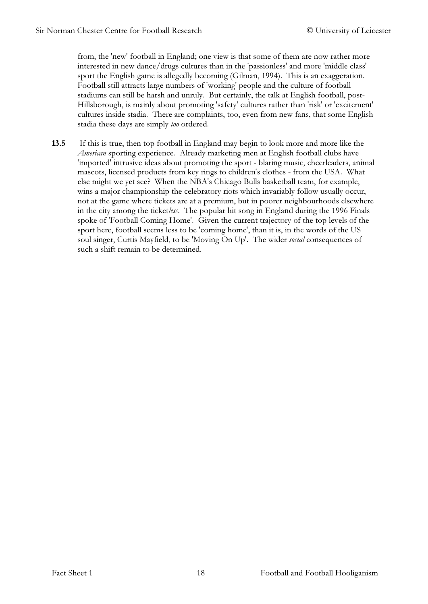from, the 'new' football in England; one view is that some of them are now rather more interested in new dance/drugs cultures than in the 'passionless' and more 'middle class' sport the English game is allegedly becoming (Gilman, 1994). This is an exaggeration. Football still attracts large numbers of 'working' people and the culture of football stadiums can still be harsh and unruly. But certainly, the talk at English football, post-Hillsborough, is mainly about promoting 'safety' cultures rather than 'risk' or 'excitement' cultures inside stadia. There are complaints, too, even from new fans, that some English stadia these days are simply too ordered.

13.5 If this is true, then top football in England may begin to look more and more like the American sporting experience. Already marketing men at English football clubs have 'imported' intrusive ideas about promoting the sport - blaring music, cheerleaders, animal mascots, licensed products from key rings to children's clothes - from the USA. What else might we yet see? When the NBA's Chicago Bulls basketball team, for example, wins a major championship the celebratory riots which invariably follow usually occur, not at the game where tickets are at a premium, but in poorer neighbourhoods elsewhere in the city among the ticketless. The popular hit song in England during the 1996 Finals spoke of 'Football Coming Home'. Given the current trajectory of the top levels of the sport here, football seems less to be 'coming home', than it is, in the words of the US soul singer, Curtis Mayfield, to be 'Moving On Up'. The wider *social* consequences of such a shift remain to be determined.